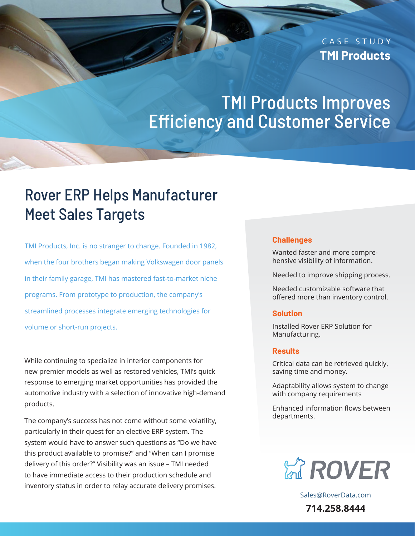### CASE STUDY **TMI Products**

## TMI Products Improves Efficiency and Customer Service

## Rover ERP Helps Manufacturer Meet Sales Targets

TMI Products, Inc. is no stranger to change. Founded in 1982, when the four brothers began making Volkswagen door panels in their family garage, TMI has mastered fast-to-market niche programs. From prototype to production, the company's streamlined processes integrate emerging technologies for volume or short-run projects.

While continuing to specialize in interior components for new premier models as well as restored vehicles, TMI's quick response to emerging market opportunities has provided the automotive industry with a selection of innovative high-demand products.

The company's success has not come without some volatility, particularly in their quest for an elective ERP system. The system would have to answer such questions as "Do we have this product available to promise?" and "When can I promise delivery of this order?" Visibility was an issue – TMI needed to have immediate access to their production schedule and inventory status in order to relay accurate delivery promises.

#### **Challenges**

Wanted faster and more comprehensive visibility of information.

Needed to improve shipping process.

Needed customizable software that offered more than inventory control.

#### **Solution**

Installed Rover ERP Solution for Manufacturing.

#### **Results**

Critical data can be retrieved quickly, saving time and money.

Adaptability allows system to change with company requirements

Enhanced information flows between departments.



[Sales@RoverData.com](mailto:Sales@RoverData.com
) **714.258.8444**